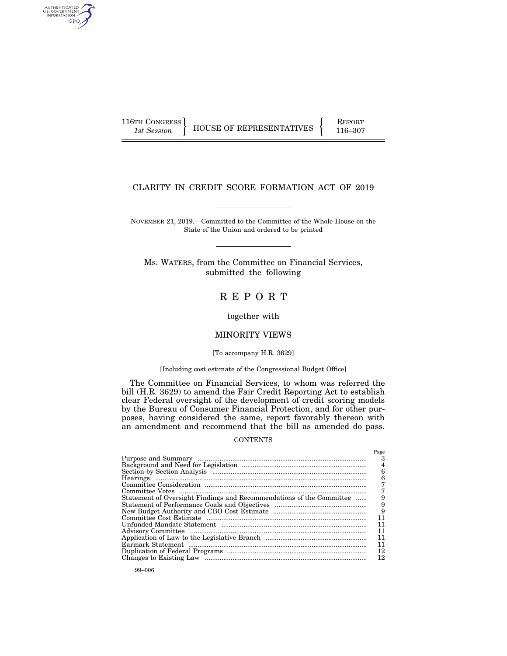AUTHENTICATED<br>U.S. GOVERNMENT<br>INFORMATION GPO

116TH CONGRESS HOUSE OF REPRESENTATIVES FEPORT 116–307

# CLARITY IN CREDIT SCORE FORMATION ACT OF 2019

NOVEMBER 21, 2019.—Committed to the Committee of the Whole House on the State of the Union and ordered to be printed

Ms. WATERS, from the Committee on Financial Services, submitted the following

# R E P O R T

together with

# MINORITY VIEWS

#### [To accompany H.R. 3629]

# [Including cost estimate of the Congressional Budget Office]

The Committee on Financial Services, to whom was referred the bill (H.R. 3629) to amend the Fair Credit Reporting Act to establish clear Federal oversight of the development of credit scoring models by the Bureau of Consumer Financial Protection, and for other purposes, having considered the same, report favorably thereon with an amendment and recommend that the bill as amended do pass.

#### **CONTENTS**

|                                                                      | Page |
|----------------------------------------------------------------------|------|
|                                                                      |      |
|                                                                      | 4    |
|                                                                      | 6    |
|                                                                      | 6    |
|                                                                      |      |
|                                                                      |      |
| Statement of Oversight Findings and Recommendations of the Committee | 9    |
|                                                                      | 9    |
|                                                                      | 9    |
|                                                                      | 11   |
|                                                                      | 11   |
|                                                                      | 11   |
|                                                                      | 11   |
|                                                                      | 11   |
|                                                                      | 12   |
|                                                                      | 12   |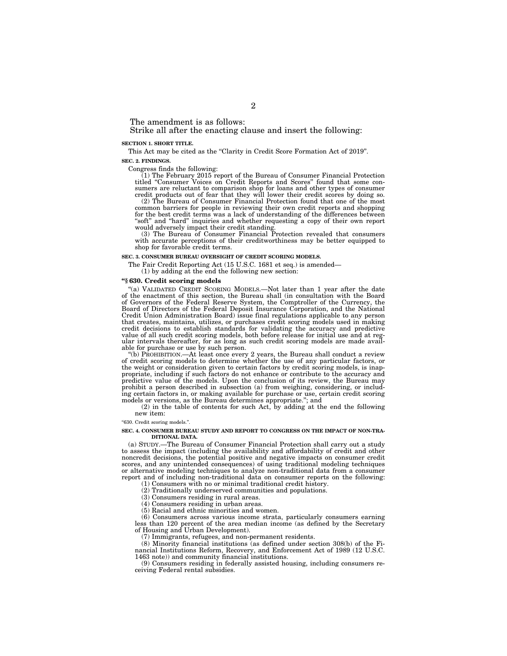The amendment is as follows:

Strike all after the enacting clause and insert the following:

#### **SECTION 1. SHORT TITLE.**

This Act may be cited as the "Clarity in Credit Score Formation Act of 2019". **SEC. 2. FINDINGS.** 

Congress finds the following:

(1) The February 2015 report of the Bureau of Consumer Financial Protection titled ''Consumer Voices on Credit Reports and Scores'' found that some consumers are reluctant to comparison shop for loans and other types of consumer credit products out of fear that they will lower their credit scores by doing so.

(2) The Bureau of Consumer Financial Protection found that one of the most common barriers for people in reviewing their own credit reports and shopping for the best credit terms was a lack of understanding of the differences between "soft" and "hard" inquiries and whether requesting a copy of their own report would adversely impact their credit standing. (3) The Bureau of Consumer Financial Protection revealed that consumers

with accurate perceptions of their creditworthiness may be better equipped to shop for favorable credit terms.

#### **SEC. 3. CONSUMER BUREAU OVERSIGHT OF CREDIT SCORING MODELS.**

The Fair Credit Reporting Act (15 U.S.C. 1681 et seq.) is amended—

(1) by adding at the end the following new section:

#### **''§ 630. Credit scoring models**

''(a) VALIDATED CREDIT SCORING MODELS.—Not later than 1 year after the date of the enactment of this section, the Bureau shall (in consultation with the Board of Governors of the Federal Reserve System, the Comptroller of the Currency, the Board of Directors of the Federal Deposit Insurance Corporation, and the National Credit Union Administration Board) issue final regulations applicable to any person that creates, maintains, utilizes, or purchases credit scoring models used in making credit decisions to establish standards for validating the accuracy and predictive value of all such credit scoring models, both before release for initial use and at regular intervals thereafter, for as long as such credit scoring models are made avail-able for purchase or use by such person.

''(b) PROHIBITION.—At least once every 2 years, the Bureau shall conduct a review of credit scoring models to determine whether the use of any particular factors, or the weight or consideration given to certain factors by credit scoring models, is inap-propriate, including if such factors do not enhance or contribute to the accuracy and predictive value of the models. Upon the conclusion of its review, the Bureau may prohibit a person described in subsection (a) from weighing, considering, or including certain factors in, or making available for purchase or use, certain credit scoring models or versions, as the Bureau determines appropriate.''; and

(2) in the table of contents for such Act, by adding at the end the following new item:

''630. Credit scoring models.''.

#### **SEC. 4. CONSUMER BUREAU STUDY AND REPORT TO CONGRESS ON THE IMPACT OF NON-TRA-DITIONAL DATA.**

(a) STUDY.—The Bureau of Consumer Financial Protection shall carry out a study to assess the impact (including the availability and affordability of credit and other noncredit decisions, the potential positive and negative impacts on consumer credit scores, and any unintended consequences) of using traditional modeling techniques or alternative modeling techniques to analyze non-traditional data from a consumer report and of including non-traditional data on consumer reports on the following:

(1) Consumers with no or minimal traditional credit history. (2) Traditionally underserved communities and populations.

(3) Consumers residing in rural areas.

(4) Consumers residing in urban areas.

(5) Racial and ethnic minorities and women.

(6) Consumers across various income strata, particularly consumers earning less than 120 percent of the area median income (as defined by the Secretary of Housing and Urban Development).

(7) Immigrants, refugees, and non-permanent residents.

(8) Minority financial institutions (as defined under section 308(b) of the Financial Institutions Reform, Recovery, and Enforcement Act of 1989 (12 U.S.C. 1463 note)) and community financial institutions.

(9) Consumers residing in federally assisted housing, including consumers receiving Federal rental subsidies.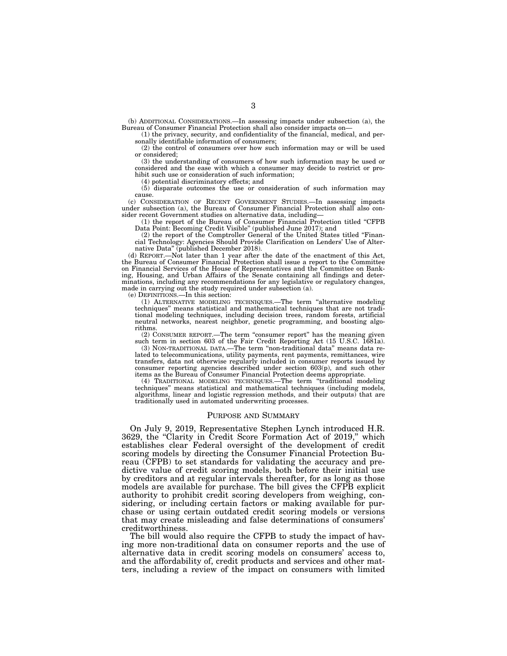(b) ADDITIONAL CONSIDERATIONS.—In assessing impacts under subsection (a), the Bureau of Consumer Financial Protection shall also consider impacts on—

(1) the privacy, security, and confidentiality of the financial, medical, and personally identifiable information of consumers;

(2) the control of consumers over how such information may or will be used or considered;

(3) the understanding of consumers of how such information may be used or considered and the ease with which a consumer may decide to restrict or prohibit such use or consideration of such information;

(4) potential discriminatory effects; and

(5) disparate outcomes the use or consideration of such information may cause.

(c) CONSIDERATION OF RECENT GOVERNMENT STUDIES.—In assessing impacts under subsection (a), the Bureau of Consumer Financial Protection shall also consider recent Government studies on alternative data, including—

(1) the report of the Bureau of Consumer Financial Protection titled ''CFPB Data Point: Becoming Credit Visible'' (published June 2017); and

(2) the report of the Comptroller General of the United States titled ''Financial Technology: Agencies Should Provide Clarification on Lenders' Use of Alternative Data'' (published December 2018).

(d) REPORT.—Not later than 1 year after the date of the enactment of this Act, the Bureau of Consumer Financial Protection shall issue a report to the Committee on Financial Services of the House of Representatives and the Committee on Banking, Housing, and Urban Affairs of the Senate containing all findings and determinations, including any recommendations for any legislative or regulatory changes, made in carrying out the study required under subsection (a).

(e) DEFINITIONS.—In this section:

(1) ALTERNATIVE MODELING TECHNIQUES.—The term ''alternative modeling techniques'' means statistical and mathematical techniques that are not traditional modeling techniques, including decision trees, random forests, artificial neutral networks, nearest neighbor, genetic programming, and boosting algorithms.

(2) CONSUMER REPORT.—The term ''consumer report'' has the meaning given such term in section 603 of the Fair Credit Reporting Act (15 U.S.C. 1681a).

(3) NON-TRADITIONAL DATA.—The term ''non-traditional data'' means data related to telecommunications, utility payments, rent payments, remittances, wire transfers, data not otherwise regularly included in consumer reports issued by consumer reporting agencies described under section 603(p), and such other items as the Bureau of Consumer Financial Protection deems appropriate.

(4) TRADITIONAL MODELING TECHNIQUES.—The term ''traditional modeling techniques'' means statistical and mathematical techniques (including models, algorithms, linear and logistic regression methods, and their outputs) that are traditionally used in automated underwriting processes.

#### PURPOSE AND SUMMARY

On July 9, 2019, Representative Stephen Lynch introduced H.R. 3629, the ''Clarity in Credit Score Formation Act of 2019,'' which establishes clear Federal oversight of the development of credit scoring models by directing the Consumer Financial Protection Bureau (CFPB) to set standards for validating the accuracy and predictive value of credit scoring models, both before their initial use by creditors and at regular intervals thereafter, for as long as those models are available for purchase. The bill gives the CFPB explicit authority to prohibit credit scoring developers from weighing, considering, or including certain factors or making available for purchase or using certain outdated credit scoring models or versions that may create misleading and false determinations of consumers' creditworthiness.

The bill would also require the CFPB to study the impact of having more non-traditional data on consumer reports and the use of alternative data in credit scoring models on consumers' access to, and the affordability of, credit products and services and other matters, including a review of the impact on consumers with limited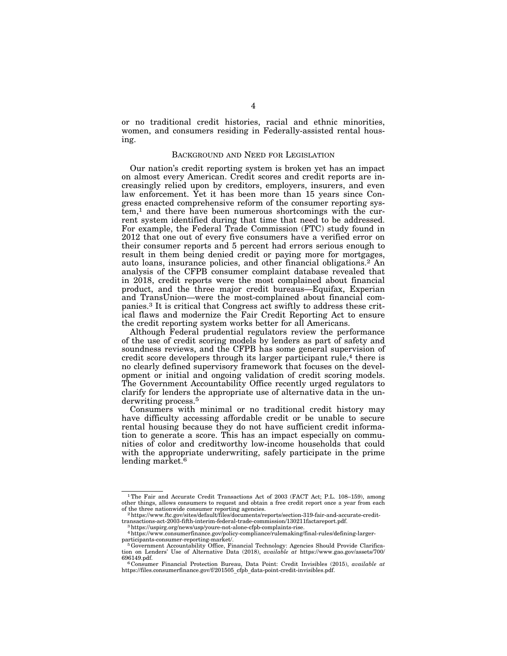or no traditional credit histories, racial and ethnic minorities, women, and consumers residing in Federally-assisted rental housing.

# BACKGROUND AND NEED FOR LEGISLATION

Our nation's credit reporting system is broken yet has an impact on almost every American. Credit scores and credit reports are increasingly relied upon by creditors, employers, insurers, and even law enforcement. Yet it has been more than 15 years since Congress enacted comprehensive reform of the consumer reporting system,1 and there have been numerous shortcomings with the current system identified during that time that need to be addressed. For example, the Federal Trade Commission (FTC) study found in 2012 that one out of every five consumers have a verified error on their consumer reports and 5 percent had errors serious enough to result in them being denied credit or paying more for mortgages, auto loans, insurance policies, and other financial obligations.2 An analysis of the CFPB consumer complaint database revealed that in 2018, credit reports were the most complained about financial product, and the three major credit bureaus—Equifax, Experian and TransUnion—were the most-complained about financial companies.3 It is critical that Congress act swiftly to address these critical flaws and modernize the Fair Credit Reporting Act to ensure the credit reporting system works better for all Americans.

Although Federal prudential regulators review the performance of the use of credit scoring models by lenders as part of safety and soundness reviews, and the CFPB has some general supervision of credit score developers through its larger participant rule,<sup>4</sup> there is no clearly defined supervisory framework that focuses on the development or initial and ongoing validation of credit scoring models. The Government Accountability Office recently urged regulators to clarify for lenders the appropriate use of alternative data in the underwriting process.<sup>5</sup>

Consumers with minimal or no traditional credit history may have difficulty accessing affordable credit or be unable to secure rental housing because they do not have sufficient credit information to generate a score. This has an impact especially on communities of color and creditworthy low-income households that could with the appropriate underwriting, safely participate in the prime lending market.<sup>6</sup>

<sup>&</sup>lt;sup>1</sup>The Fair and Accurate Credit Transactions Act of 2003 (FACT Act; P.L. 108-159), among other things, allows consumers to request and obtain a free credit report once a year from each of the three nationwide consumer reporting agencies. 2https://www.ftc.gov/sites/default/files/documents/reports/section-319-fair-and-accurate-credit-

transactions-act-2003-fifth-interim-federal-trade-commission/130211factareport.pdf. 3https://uspirg.org/news/usp/youre-not-alone-cfpb-complaints-rise.

<sup>4</sup>https://www.consumerfinance.gov/policy-compliance/rulemaking/final-rules/defining-larger-

<sup>&</sup>lt;sup>5</sup> Government Accountability Office, Financial Technology: Agencies Should Provide Clarification on Lenders' Use of Alternative Data (2018), *available at* https://www.gao.gov/assets/700/

<sup>696149.</sup>pdf. 6 Consumer Financial Protection Bureau, Data Point: Credit Invisibles (2015), *available at*  https://files.consumerfinance.gov/f/201505\_cfpb\_data-point-credit-invisibles.pdf.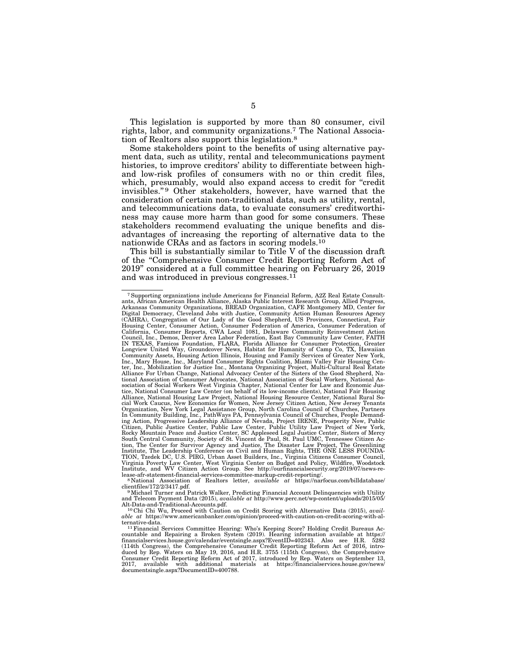This legislation is supported by more than 80 consumer, civil rights, labor, and community organizations.7 The National Association of Realtors also support this legislation.8

Some stakeholders point to the benefits of using alternative payment data, such as utility, rental and telecommunications payment histories, to improve creditors' ability to differentiate between highand low-risk profiles of consumers with no or thin credit files, which, presumably, would also expand access to credit for "credit invisibles."<sup>9</sup> Other stakeholders, however, have warned that the consideration of certain non-traditional data, such as utility, rental, and telecommunications data, to evaluate consumers' creditworthiness may cause more harm than good for some consumers. These stakeholders recommend evaluating the unique benefits and disadvantages of increasing the reporting of alternative data to the nationwide CRAs and as factors in scoring models.10

This bill is substantially similar to Title V of the discussion draft of the ''Comprehensive Consumer Credit Reporting Reform Act of 2019'' considered at a full committee hearing on February 26, 2019 and was introduced in previous congresses.11

<sup>7</sup>Supporting organizations include Americans for Financial Reform, A2Z Real Estate Consultants, African American Health Alliance, Alaska Public Interest Research Group, Allied Progress, Arkansas Community Organizations, BREAD Organization, CAFE Montgomery MD, Center for Digital Democracy, Cleveland Jobs with Justice, Community Action Human Resources Agency (CAHRA), Congregation of Our Lady of the Good Shepherd, US Provinces, Connecticut, Fair<br>Housing Center, Consumer Action, Consumer Federation of America, Consumer Federation of<br>California, Consumer Reports, CWA Local 1081, Council, Inc., Demos, Denver Area Labor Federation, East Bay Community Law Center, FAITH IN TEXAS, Famicos Foundation, FLARA, Florida Alliance for Consumer Protection, Greater Longview United Way, Groundcover News, Habitat for Humanity of Camp Co, TX, Hawaiian Community Assets, Housing Action Illinois, Housing and Family Services of Greater New York,<br>Inc., Mary House, Inc., Maryland Consumer Rights Coalition, Miami Valley Fair Housing Cen-<br>ter, Inc., Mobilization for Justice Inc tional Association of Consumer Advocates, National Association of Social Workers, National Association of Social Workers West Virginia Chapter, National Center for Law and Economic Jus-tice, National Consumer Law Center (on behalf of its low-income clients), National Fair Housing Alliance, National Housing Law Project, National Housing Resource Center, National Rural So-<br>cial Work Caucus, New Economics for Women, New Jersey Citizen Action, New Jersey Tenants<br>Organization, New York Legal Assistance In Community Building, Inc., PathWays PA, Pennsylvania Council of Churches, People Demanding Action, Progressive Leadership Alliance of Nevada, Project IRENE, Prosperity Now, Public<br>Citizen, Public Justice Center, Public Law Center, Public Utility Law Project of New York,<br>Rocky Mountain Peace and Justice Cente tion, The Center for Survivor Agency and Justice, The Disaster Law Project, The Greenlining Institute, The Leadership Conference on Civil and Human Rights, THE ONE LESS FOUNDA-TION, Tzedek DC, U.S. PIRG, Urban Asset Builde

client matter in the external association of Realtors letter, *available at* https://narfocus.com/billdatabase/<br>clientfiles/172/2/3417.pdf.<br><sup>9</sup>Michael Turner and Patrick Walker, Predicting Financial Account Delinquencies w

and Telecom Payment Data (2015), *available at* http://www.perc.net/wp-content/uploads/2015/05/

<sup>&</sup>lt;sup>10</sup>Chi Chi Wu, Proceed with Caution on Credit Scoring with Alternative Data (2015), *available at* https://www.americanbanker.com/opinion/proceed-with-caution-on-credit-scoring-with-alternative-data. 11Financial Services Committee Hearing: Who's Keeping Score? Holding Credit Bureaus Ac-

countable and Repairing a Broken System (2019). Hearing information available at https://<br>financialservices.house.gov/calendar/eventsingle.aspx?EventID=402343. Also see H.R. 5282<br>(114th Congress), the Comprehensive Consume documentsingle.aspx?DocumentID=400788.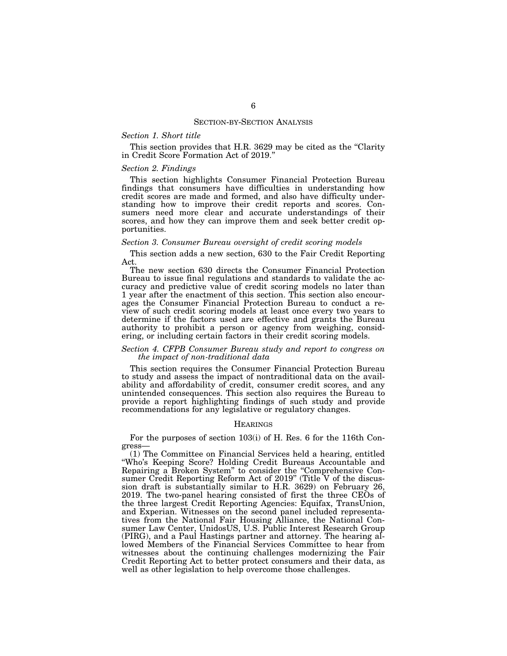#### SECTION-BY-SECTION ANALYSIS

# *Section 1. Short title*

This section provides that H.R. 3629 may be cited as the "Clarity" in Credit Score Formation Act of 2019.''

#### *Section 2. Findings*

This section highlights Consumer Financial Protection Bureau findings that consumers have difficulties in understanding how credit scores are made and formed, and also have difficulty understanding how to improve their credit reports and scores. Consumers need more clear and accurate understandings of their scores, and how they can improve them and seek better credit opportunities.

#### *Section 3. Consumer Bureau oversight of credit scoring models*

This section adds a new section, 630 to the Fair Credit Reporting Act.

The new section 630 directs the Consumer Financial Protection Bureau to issue final regulations and standards to validate the accuracy and predictive value of credit scoring models no later than 1 year after the enactment of this section. This section also encourages the Consumer Financial Protection Bureau to conduct a review of such credit scoring models at least once every two years to determine if the factors used are effective and grants the Bureau authority to prohibit a person or agency from weighing, considering, or including certain factors in their credit scoring models.

# *Section 4. CFPB Consumer Bureau study and report to congress on the impact of non-traditional data*

This section requires the Consumer Financial Protection Bureau to study and assess the impact of nontraditional data on the availability and affordability of credit, consumer credit scores, and any unintended consequences. This section also requires the Bureau to provide a report highlighting findings of such study and provide recommendations for any legislative or regulatory changes.

#### **HEARINGS**

For the purposes of section 103(i) of H. Res. 6 for the 116th Congress—

(1) The Committee on Financial Services held a hearing, entitled ''Who's Keeping Score? Holding Credit Bureaus Accountable and Repairing a Broken System'' to consider the ''Comprehensive Consumer Credit Reporting Reform Act of 2019'' (Title V of the discussion draft is substantially similar to H.R. 3629) on February 26, 2019. The two-panel hearing consisted of first the three CEOs of the three largest Credit Reporting Agencies: Equifax, TransUnion, and Experian. Witnesses on the second panel included representatives from the National Fair Housing Alliance, the National Consumer Law Center, UnidosUS, U.S. Public Interest Research Group (PIRG), and a Paul Hastings partner and attorney. The hearing allowed Members of the Financial Services Committee to hear from witnesses about the continuing challenges modernizing the Fair Credit Reporting Act to better protect consumers and their data, as well as other legislation to help overcome those challenges.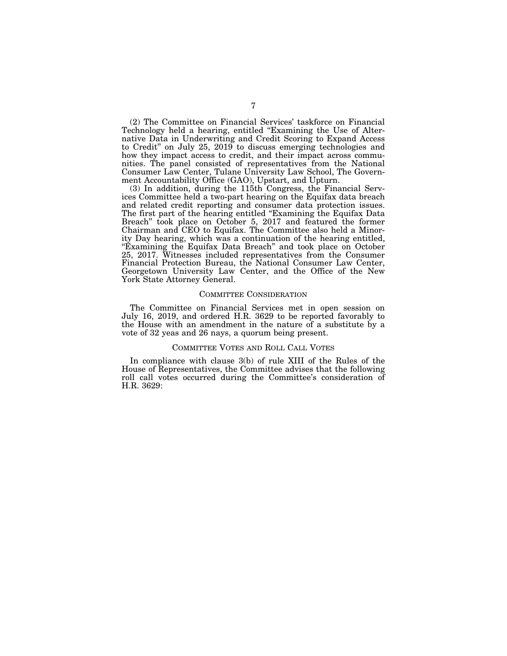(2) The Committee on Financial Services' taskforce on Financial Technology held a hearing, entitled "Examining the Use of Alternative Data in Underwriting and Credit Scoring to Expand Access to Credit'' on July 25, 2019 to discuss emerging technologies and how they impact access to credit, and their impact across communities. The panel consisted of representatives from the National Consumer Law Center, Tulane University Law School, The Government Accountability Office (GAO), Upstart, and Upturn.

(3) In addition, during the 115th Congress, the Financial Services Committee held a two-part hearing on the Equifax data breach and related credit reporting and consumer data protection issues. The first part of the hearing entitled ''Examining the Equifax Data Breach'' took place on October 5, 2017 and featured the former Chairman and CEO to Equifax. The Committee also held a Minority Day hearing, which was a continuation of the hearing entitled, "Examining the Equifax Data Breach" and took place on October 25, 2017. Witnesses included representatives from the Consumer Financial Protection Bureau, the National Consumer Law Center, Georgetown University Law Center, and the Office of the New York State Attorney General.

#### COMMITTEE CONSIDERATION

The Committee on Financial Services met in open session on July 16, 2019, and ordered H.R. 3629 to be reported favorably to the House with an amendment in the nature of a substitute by a vote of 32 yeas and 26 nays, a quorum being present.

#### COMMITTEE VOTES AND ROLL CALL VOTES

In compliance with clause 3(b) of rule XIII of the Rules of the House of Representatives, the Committee advises that the following roll call votes occurred during the Committee's consideration of H.R. 3629: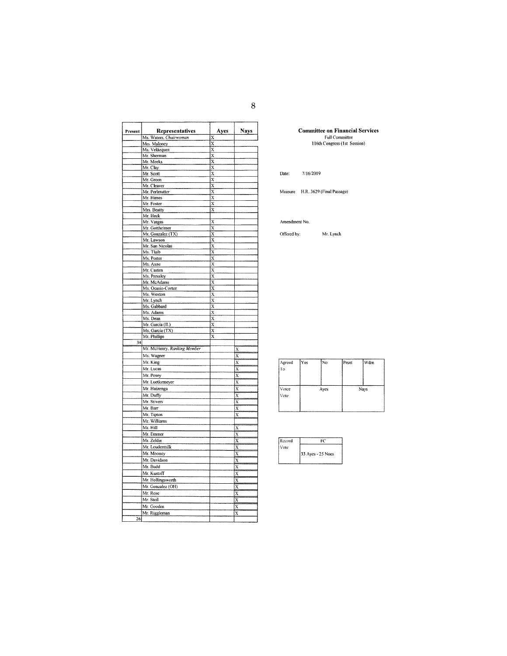| Present | Representatives               | Ayes                        | Nays                    |
|---------|-------------------------------|-----------------------------|-------------------------|
|         | Ms. Waters, Chairwoman        | X                           |                         |
|         | Mrs. Maloney                  | $\overline{\mathbf{x}}$     |                         |
|         | Ms. Velázquez                 | $\overline{x}$              |                         |
|         | Mr. Sherman                   | X                           |                         |
|         | Mr. Meeks                     | $\overline{\mathbf{x}}$     |                         |
|         | Mr. Clay                      | x                           |                         |
|         | Mr. Scott                     | $\bar{\textbf{x}}$          |                         |
|         | Mr. Green                     | $\overline{\mathbf{x}}$     |                         |
|         | Mr. Cleaver<br>Mr. Perlmutter | $\bar{x}$<br>$\overline{x}$ |                         |
|         | Mr. Himes                     | X                           |                         |
|         | Mr. Foster                    | X                           |                         |
|         | Mrs. Beatty                   | X                           |                         |
|         | Mr. Heck                      |                             |                         |
|         | Mr. Vargas                    | $\overline{\mathbf{x}}$     |                         |
|         | Mr. Gottheimer                | X                           |                         |
|         | Mr. Gonzalez (TX)             | $\overline{\mathbf{x}}$     |                         |
|         | Mr. Lawson                    | X                           |                         |
|         | Mr. San Nicolas               | X                           |                         |
|         | Ms. Tlaib                     | $\overline{x}$              |                         |
|         | Ms. Porter                    | X                           |                         |
|         | Ms. Axne                      | $\overline{x}$              |                         |
|         | Mr. Casten                    | X                           |                         |
|         | Ms. Pressley                  | $\overline{x}$              |                         |
|         | Mr. McAdams                   | X                           |                         |
|         | Ms. Ocasio-Cortez             | $\overline{x}$<br>X         |                         |
|         | Ms. Wexton<br>Mr. Lynch       | $\overline{\mathbf{x}}$     |                         |
|         | Ms. Gabbard                   | $\overline{\mathbf{x}}$     |                         |
|         | Ms. Adams                     | $\overline{\mathbf{x}}$     |                         |
|         | Ms. Dean                      | $\overline{x}$              |                         |
|         | Mr. Garcia (IL)               | $\overline{x}$              |                         |
|         | Ms. Garcia (TX)               | X                           |                         |
|         | Mr. Phillips                  | $\overline{\mathbf{x}}$     |                         |
| 34      |                               |                             |                         |
|         | Mr. McHenry, Ranking Member   |                             | X                       |
|         | Ms. Wagner                    |                             | X                       |
|         | Mr. King                      |                             | X                       |
|         | Mr. Lucas                     |                             | X                       |
|         | Mr. Posey                     |                             | $\overline{\mathbf{x}}$ |
|         | Mr. Luetkemeyer               |                             | X                       |
|         | Mr. Huizenga                  |                             | X                       |
|         | Mr. Duffy                     |                             | X                       |
|         | Mr. Stivers                   |                             | x                       |
|         | Mr. Barr                      |                             | X                       |
|         | Mr. Tipton                    |                             | X                       |
|         | Mr. Williams                  |                             |                         |
|         | Mr. Hill                      |                             | X                       |
|         | Mr. Emmer                     |                             | Х                       |
|         | Mr. Zeldin                    |                             | X                       |
|         | Mr. Loudermilk                |                             | X                       |
|         | Mr. Mooney                    |                             | X                       |
|         | Mr. Davidson                  |                             | $\overline{\mathbf{x}}$ |
|         | Mr. Budd                      |                             | $\overline{\mathbf{x}}$ |
|         | Mr. Kustoff                   |                             | $\bar{x}$               |
|         | Mr. Hollingsworth             |                             | X                       |
|         | Mr. Gonzalez (OH)             |                             | X                       |
|         | Mr. Rose                      |                             |                         |
|         | Mr. Steil                     |                             | X                       |
|         |                               |                             | $\overline{\mathbf{x}}$ |
|         | Mr. Gooden                    |                             | X                       |
|         | Mr. Riggleman                 |                             | X                       |
| 26      |                               |                             |                         |

**Committee on Financial Services**<br>Full Committee<br>116th Congress (1st Session)

7/16/2019 Date:

Measure H.R. 3629 (Final Passage)

Amendment No.

Offered by: Mr. Lynch

| Agreed<br>Ŧо  | Yes] | No   | Prsnt | Wdm  |
|---------------|------|------|-------|------|
| Voice<br>Vote |      | Ayes |       | Nays |

| Record |                   |
|--------|-------------------|
| Vote   |                   |
|        | 33 Ayes - 25 Noes |
|        |                   |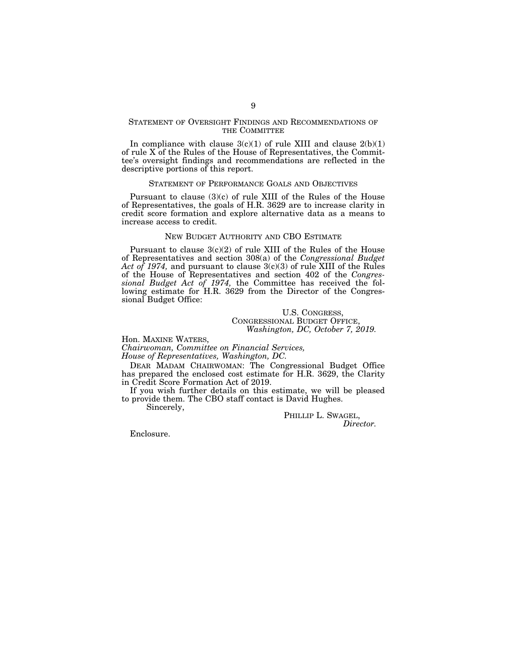# STATEMENT OF OVERSIGHT FINDINGS AND RECOMMENDATIONS OF THE COMMITTEE

In compliance with clause  $3(c)(1)$  of rule XIII and clause  $2(b)(1)$ of rule X of the Rules of the House of Representatives, the Committee's oversight findings and recommendations are reflected in the descriptive portions of this report.

## STATEMENT OF PERFORMANCE GOALS AND OBJECTIVES

Pursuant to clause  $(3)(c)$  of rule XIII of the Rules of the House of Representatives, the goals of H.R. 3629 are to increase clarity in credit score formation and explore alternative data as a means to increase access to credit.

# NEW BUDGET AUTHORITY AND CBO ESTIMATE

Pursuant to clause 3(c)(2) of rule XIII of the Rules of the House of Representatives and section 308(a) of the *Congressional Budget Act of 1974,* and pursuant to clause 3(c)(3) of rule XIII of the Rules of the House of Representatives and section 402 of the *Congressional Budget Act of 1974,* the Committee has received the following estimate for H.R. 3629 from the Director of the Congressional Budget Office:

# U.S. CONGRESS, CONGRESSIONAL BUDGET OFFICE, *Washington, DC, October 7, 2019.*

Hon. MAXINE WATERS,

*Chairwoman, Committee on Financial Services, House of Representatives, Washington, DC.* 

DEAR MADAM CHAIRWOMAN: The Congressional Budget Office has prepared the enclosed cost estimate for H.R. 3629, the Clarity in Credit Score Formation Act of 2019.

If you wish further details on this estimate, we will be pleased to provide them. The CBO staff contact is David Hughes.

Sincerely,

PHILLIP L. SWAGEL, *Director.* 

Enclosure.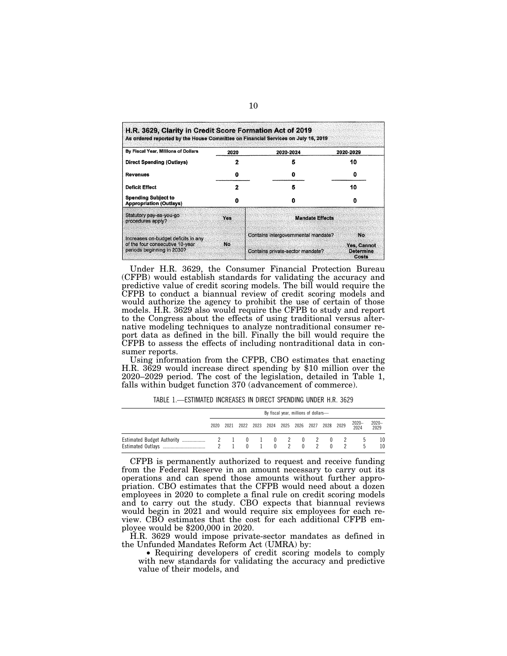| By Fiscal Year, Millions of Dollars                           | 2020 | 2020-2024                           | 2020-2029                                |
|---------------------------------------------------------------|------|-------------------------------------|------------------------------------------|
| <b>Direct Spending (Outlays)</b>                              |      | 5                                   | 10                                       |
| <b>Revenues</b>                                               | 0    |                                     |                                          |
| <b>Deficit Effect</b>                                         |      | 5                                   | 10                                       |
| <b>Spending Subject to</b><br><b>Appropriation (Outlays)</b>  |      |                                     |                                          |
| Statutory pay-as-you-go<br>procedures apply?                  | Yes  | <b>Mandate Effects</b>              |                                          |
| Increases on-budget deficits in any                           |      | Contains intergovernmental mandate? | No.                                      |
| of the four consecutive 10-year<br>periods beginning in 2030? | No.  | Contains private-sector mandate?    | Yes, Cannot<br><b>Determine</b><br>Costs |

Under H.R. 3629, the Consumer Financial Protection Bureau (CFPB) would establish standards for validating the accuracy and predictive value of credit scoring models. The bill would require the CFPB to conduct a biannual review of credit scoring models and would authorize the agency to prohibit the use of certain of those models. H.R. 3629 also would require the CFPB to study and report to the Congress about the effects of using traditional versus alternative modeling techniques to analyze nontraditional consumer report data as defined in the bill. Finally the bill would require the CFPB to assess the effects of including nontraditional data in consumer reports.

Using information from the CFPB, CBO estimates that enacting H.R. 3629 would increase direct spending by \$10 million over the 2020–2029 period. The cost of the legislation, detailed in Table 1, falls within budget function 370 (advancement of commerce).

TABLE 1.—ESTIMATED INCREASES IN DIRECT SPENDING UNDER H.R. 3629

| By fiscal year, millions of dollars- |  |                                              |  |                |       |  |              |               |               |
|--------------------------------------|--|----------------------------------------------|--|----------------|-------|--|--------------|---------------|---------------|
| 2020                                 |  | 2021 2022 2023 2024 2025 2026 2027 2028 2029 |  |                |       |  |              | 2020-<br>2024 | 2020-<br>2029 |
|                                      |  | $\mathbf{0}$                                 |  | $\overline{0}$ | 2 0 2 |  | $\mathsf{U}$ | h<br>h        | 10<br>10      |

CFPB is permanently authorized to request and receive funding from the Federal Reserve in an amount necessary to carry out its operations and can spend those amounts without further appropriation. CBO estimates that the CFPB would need about a dozen employees in 2020 to complete a final rule on credit scoring models and to carry out the study. CBO expects that biannual reviews would begin in 2021 and would require six employees for each review. CBO estimates that the cost for each additional CFPB employee would be \$200,000 in 2020.

H.R. 3629 would impose private-sector mandates as defined in the Unfunded Mandates Reform Act (UMRA) by:

• Requiring developers of credit scoring models to comply with new standards for validating the accuracy and predictive value of their models, and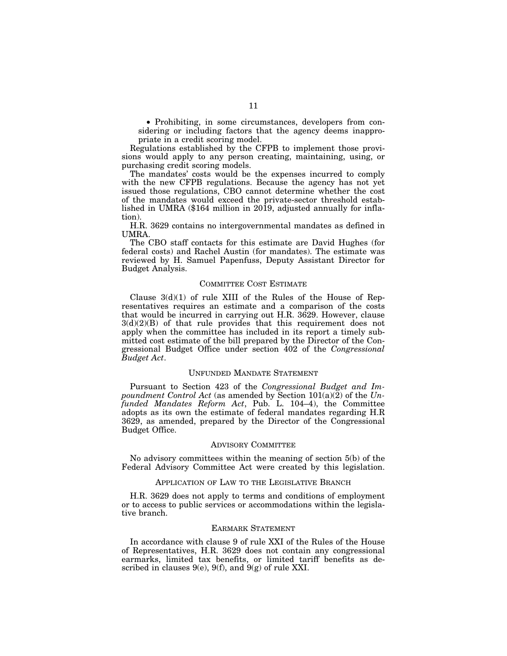• Prohibiting, in some circumstances, developers from considering or including factors that the agency deems inappropriate in a credit scoring model.

Regulations established by the CFPB to implement those provisions would apply to any person creating, maintaining, using, or purchasing credit scoring models.

The mandates' costs would be the expenses incurred to comply with the new CFPB regulations. Because the agency has not yet issued those regulations, CBO cannot determine whether the cost of the mandates would exceed the private-sector threshold established in UMRA (\$164 million in 2019, adjusted annually for inflation).

H.R. 3629 contains no intergovernmental mandates as defined in UMRA.

The CBO staff contacts for this estimate are David Hughes (for federal costs) and Rachel Austin (for mandates). The estimate was reviewed by H. Samuel Papenfuss, Deputy Assistant Director for Budget Analysis.

### COMMITTEE COST ESTIMATE

Clause  $3(d)(1)$  of rule XIII of the Rules of the House of Representatives requires an estimate and a comparison of the costs that would be incurred in carrying out H.R. 3629. However, clause  $3(d)(2)(B)$  of that rule provides that this requirement does not apply when the committee has included in its report a timely submitted cost estimate of the bill prepared by the Director of the Congressional Budget Office under section 402 of the *Congressional Budget Act*.

#### UNFUNDED MANDATE STATEMENT

Pursuant to Section 423 of the *Congressional Budget and Impoundment Control Act* (as amended by Section 101(a)(2) of the *Unfunded Mandates Reform Act*, Pub. L. 104–4), the Committee adopts as its own the estimate of federal mandates regarding H.R 3629, as amended, prepared by the Director of the Congressional Budget Office.

#### ADVISORY COMMITTEE

No advisory committees within the meaning of section 5(b) of the Federal Advisory Committee Act were created by this legislation.

## APPLICATION OF LAW TO THE LEGISLATIVE BRANCH

H.R. 3629 does not apply to terms and conditions of employment or to access to public services or accommodations within the legislative branch.

#### EARMARK STATEMENT

In accordance with clause 9 of rule XXI of the Rules of the House of Representatives, H.R. 3629 does not contain any congressional earmarks, limited tax benefits, or limited tariff benefits as described in clauses  $9(e)$ ,  $9(f)$ , and  $9(g)$  of rule XXI.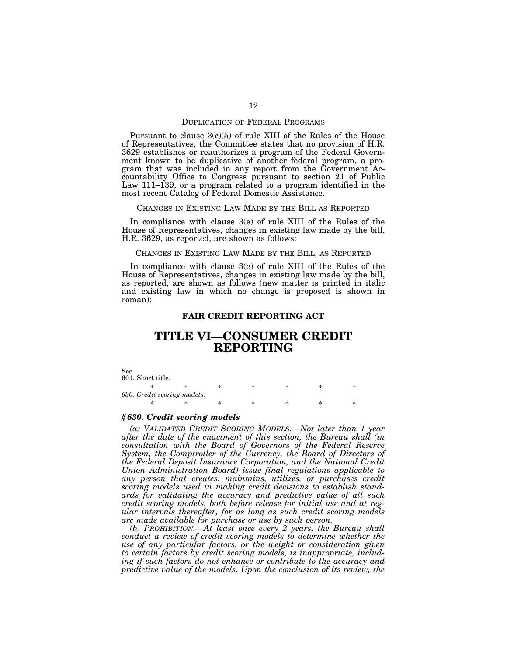#### DUPLICATION OF FEDERAL PROGRAMS

Pursuant to clause  $3(c)(5)$  of rule XIII of the Rules of the House of Representatives, the Committee states that no provision of H.R. 3629 establishes or reauthorizes a program of the Federal Government known to be duplicative of another federal program, a program that was included in any report from the Government Accountability Office to Congress pursuant to section 21 of Public Law 111–139, or a program related to a program identified in the most recent Catalog of Federal Domestic Assistance.

#### CHANGES IN EXISTING LAW MADE BY THE BILL AS REPORTED

In compliance with clause 3(e) of rule XIII of the Rules of the House of Representatives, changes in existing law made by the bill, H.R. 3629, as reported, are shown as follows:

#### CHANGES IN EXISTING LAW MADE BY THE BILL, AS REPORTED

In compliance with clause 3(e) of rule XIII of the Rules of the House of Representatives, changes in existing law made by the bill, as reported, are shown as follows (new matter is printed in italic and existing law in which no change is proposed is shown in roman):

# **FAIR CREDIT REPORTING ACT**

# **TITLE VI—CONSUMER CREDIT REPORTING**

Sec. 601. Short title.

| 630. Credit scoring models. |  |  |  |
|-----------------------------|--|--|--|
|                             |  |  |  |

#### *§ 630. Credit scoring models*

*(a) VALIDATED CREDIT SCORING MODELS.—Not later than 1 year after the date of the enactment of this section, the Bureau shall (in consultation with the Board of Governors of the Federal Reserve System, the Comptroller of the Currency, the Board of Directors of the Federal Deposit Insurance Corporation, and the National Credit Union Administration Board) issue final regulations applicable to any person that creates, maintains, utilizes, or purchases credit scoring models used in making credit decisions to establish standards for validating the accuracy and predictive value of all such credit scoring models, both before release for initial use and at regular intervals thereafter, for as long as such credit scoring models are made available for purchase or use by such person.* 

*(b) PROHIBITION.—At least once every 2 years, the Bureau shall conduct a review of credit scoring models to determine whether the use of any particular factors, or the weight or consideration given to certain factors by credit scoring models, is inappropriate, including if such factors do not enhance or contribute to the accuracy and predictive value of the models. Upon the conclusion of its review, the*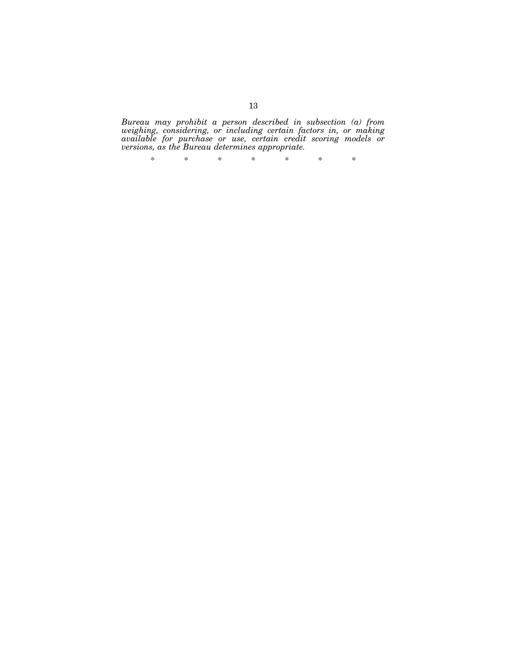*Bureau may prohibit a person described in subsection (a) from weighing, considering, or including certain factors in, or making available for purchase or use, certain credit scoring models or versions, as the Bureau determines appropriate.* 

\* \* \* \* \* \* \*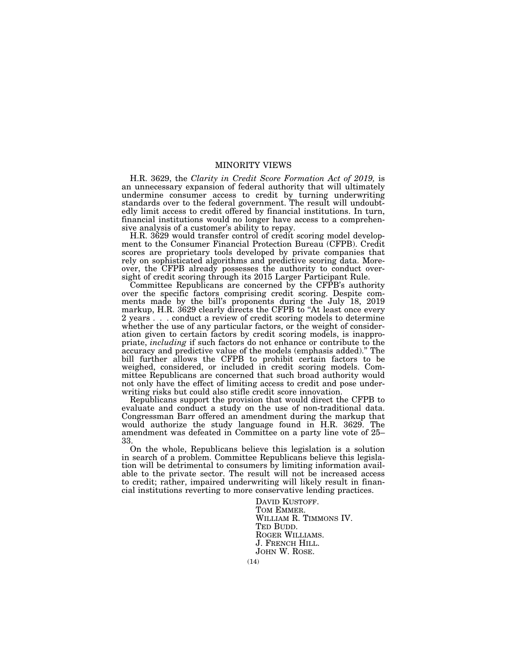# MINORITY VIEWS

H.R. 3629, the *Clarity in Credit Score Formation Act of 2019,* is an unnecessary expansion of federal authority that will ultimately undermine consumer access to credit by turning underwriting standards over to the federal government. The result will undoubtedly limit access to credit offered by financial institutions. In turn, financial institutions would no longer have access to a comprehensive analysis of a customer's ability to repay.

H.R. 3629 would transfer control of credit scoring model development to the Consumer Financial Protection Bureau (CFPB). Credit scores are proprietary tools developed by private companies that rely on sophisticated algorithms and predictive scoring data. Moreover, the CFPB already possesses the authority to conduct oversight of credit scoring through its 2015 Larger Participant Rule.

Committee Republicans are concerned by the CFPB's authority over the specific factors comprising credit scoring. Despite comments made by the bill's proponents during the July 18, 2019 markup, H.R. 3629 clearly directs the CFPB to ''At least once every 2 years . . . conduct a review of credit scoring models to determine whether the use of any particular factors, or the weight of consideration given to certain factors by credit scoring models, is inappropriate, *including* if such factors do not enhance or contribute to the accuracy and predictive value of the models (emphasis added).'' The bill further allows the CFPB to prohibit certain factors to be weighed, considered, or included in credit scoring models. Committee Republicans are concerned that such broad authority would not only have the effect of limiting access to credit and pose underwriting risks but could also stifle credit score innovation.

Republicans support the provision that would direct the CFPB to evaluate and conduct a study on the use of non-traditional data. Congressman Barr offered an amendment during the markup that would authorize the study language found in H.R. 3629. The amendment was defeated in Committee on a party line vote of 25– 33.

On the whole, Republicans believe this legislation is a solution in search of a problem. Committee Republicans believe this legislation will be detrimental to consumers by limiting information available to the private sector. The result will not be increased access to credit; rather, impaired underwriting will likely result in financial institutions reverting to more conservative lending practices.

> DAVID KUSTOFF. TOM EMMER. WILLIAM R. TIMMONS IV. TED BUDD. ROGER WILLIAMS. J. FRENCH HILL. JOHN W. ROSE.